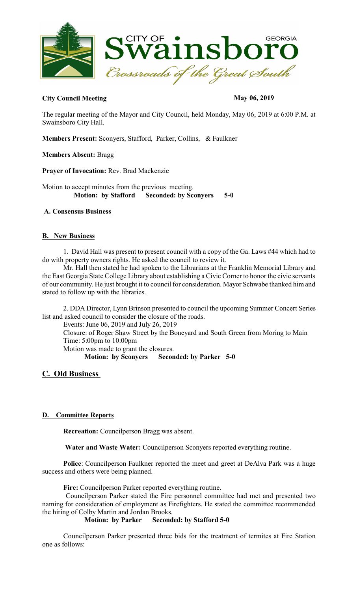

## **City Council Meeting May 06, 2019**

The regular meeting of the Mayor and City Council, held Monday, May 06, 2019 at 6:00 P.M. at Swainsboro City Hall.

**Members Present:** Sconyers, Stafford, Parker, Collins, & Faulkner

**Members Absent:** Bragg

**Prayer of Invocation:** Rev. Brad Mackenzie

Motion to accept minutes from the previous meeting.  **Motion: by Stafford Seconded: by Sconyers 5-0** 

## **A. Consensus Business**

### **B. New Business**

1. David Hall was present to present council with a copy of the Ga. Laws #44 which had to do with property owners rights. He asked the council to review it.

Mr. Hall then stated he had spoken to the Librarians at the Franklin Memorial Library and the East Georgia State College Library about establishing a Civic Corner to honor the civic servants of our community. He just brought it to council for consideration. Mayor Schwabe thanked him and stated to follow up with the libraries.

2. DDA Director, Lynn Brinson presented to council the upcoming Summer Concert Series list and asked council to consider the closure of the roads.

Events: June 06, 2019 and July 26, 2019

Closure: of Roger Shaw Street by the Boneyard and South Green from Moring to Main Time: 5:00pm to 10:00pm

Motion was made to grant the closures.

**Motion: by Sconyers Seconded: by Parker 5-0** 

## **C. Old Business**

### **D. Committee Reports**

**Recreation:** Councilperson Bragg was absent.

 **Water and Waste Water:** Councilperson Sconyers reported everything routine.

**Police**: Councilperson Faulkner reported the meet and greet at DeAlva Park was a huge success and others were being planned.

**Fire:** Councilperson Parker reported everything routine.

Councilperson Parker stated the Fire personnel committee had met and presented two naming for consideration of employment as Firefighters. He stated the committee recommended the hiring of Colby Martin and Jordan Brooks.<br>**Motion:** by Parker Second

### **Seconded: by Stafford 5-0**

Councilperson Parker presented three bids for the treatment of termites at Fire Station one as follows: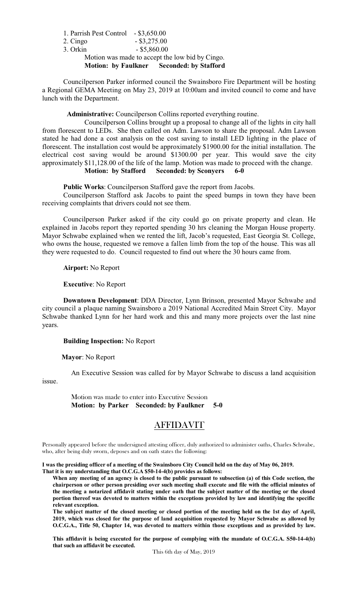1. Parrish Pest Control - \$3,650.00 2. Cingo - \$3,275.00 3. Orkin - \$5,860.00 Motion was made to accept the low bid by Cingo. **Motion: by Faulkner Seconded: by Stafford** 

Councilperson Parker informed council the Swainsboro Fire Department will be hosting a Regional GEMA Meeting on May 23, 2019 at 10:00am and invited council to come and have lunch with the Department.

**Administrative:** Councilperson Collins reported everything routine.

Councilperson Collins brought up a proposal to change all of the lights in city hall from florescent to LEDs. She then called on Adm. Lawson to share the proposal. Adm Lawson stated he had done a cost analysis on the cost saving to install LED lighting in the place of florescent. The installation cost would be approximately \$1900.00 for the initial installation. The electrical cost saving would be around \$1300.00 per year. This would save the city approximately \$11,128.00 of the life of the lamp. Motion was made to proceed with the change. **Motion: by Stafford Seconded: by Sconyers 6-0**

**Public Works**: Councilperson Stafford gave the report from Jacobs.

Councilperson Stafford ask Jacobs to paint the speed bumps in town they have been receiving complaints that drivers could not see them.

Councilperson Parker asked if the city could go on private property and clean. He explained in Jacobs report they reported spending 30 hrs cleaning the Morgan House property. Mayor Schwabe explained when we rented the lift, Jacob's requested, East Georgia St. College, who owns the house, requested we remove a fallen limb from the top of the house. This was all they were requested to do. Council requested to find out where the 30 hours came from.

**Airport:** No Report

**Executive**: No Report

**Downtown Development**: DDA Director, Lynn Brinson, presented Mayor Schwabe and city council a plaque naming Swainsboro a 2019 National Accredited Main Street City. Mayor Schwabe thanked Lynn for her hard work and this and many more projects over the last nine years.

 **Building Inspection:** No Report

**Mayor**: No Report

An Executive Session was called for by Mayor Schwabe to discuss a land acquisition issue.

> Motion was made to enter into Executive Session **Motion: by Parker Seconded: by Faulkner 5-0**

# AFFIDAVIT

Personally appeared before the undersigned attesting officer, duly authorized to administer oaths, Charles Schwabe, who, after being duly sworn, deposes and on oath states the following:

**I was the presiding officer of a meeting of the Swainsboro City Council held on the day of May 06, 2019.**

**That it is my understanding that O.C.G.A \$50-14-4(b) provides as follows:**

**When any meeting of an agency is closed to the public pursuant to subsection (a) of this Code section, the chairperson or other person presiding over such meeting shall execute and file with the official minutes of the meeting a notarized affidavit stating under oath that the subject matter of the meeting or the closed portion thereof was devoted to matters within the exceptions provided by law and identifying the specific relevant exception.**

**The subject matter of the closed meeting or closed portion of the meeting held on the 1st day of April, 2019, which was closed for the purpose of land acquisition requested by Mayor Schwabe as allowed by O.C.G.A., Title 50, Chapter 14, was devoted to matters within those exceptions and as provided by law.**

**This affidavit is being executed for the purpose of complying with the mandate of O.C.G.A. S50-14-4(b) that such an affidavit be executed.**

This 6th day of May, 2019